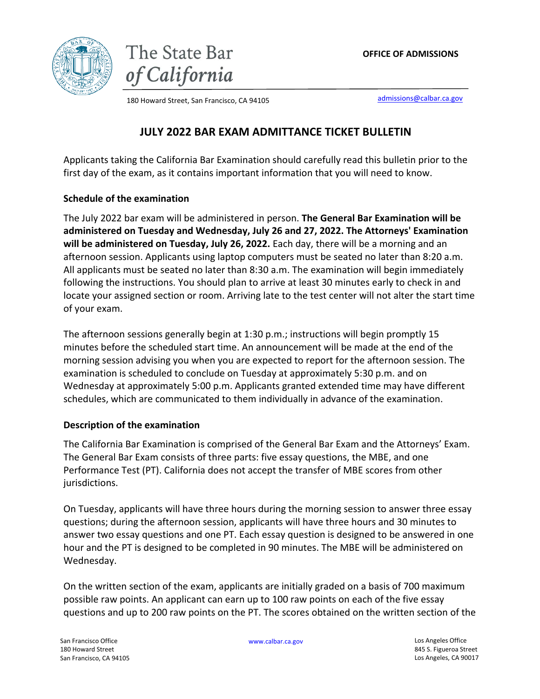





180 Howard Street, San Francisco, CA 94105 **by the Canadian Canadian Canadian** [admissions@calbar.ca.gov](mailto:admissions@calbar.ca.gov)

# **JULY 2022 BAR EXAM ADMITTANCE TICKET BULLETIN**

Applicants taking the California Bar Examination should carefully read this bulletin prior to the first day of the exam, as it contains important information that you will need to know.

## **Schedule of the examination**

The July 2022 bar exam will be administered in person. **The General Bar Examination will be administered on Tuesday and Wednesday, July 26 and 27, 2022. The Attorneys' Examination will be administered on Tuesday, July 26, 2022.** Each day, there will be a morning and an afternoon session. Applicants using laptop computers must be seated no later than 8:20 a.m. All applicants must be seated no later than 8:30 a.m. The examination will begin immediately following the instructions. You should plan to arrive at least 30 minutes early to check in and locate your assigned section or room. Arriving late to the test center will not alter the start time of your exam.

The afternoon sessions generally begin at 1:30 p.m.; instructions will begin promptly 15 minutes before the scheduled start time. An announcement will be made at the end of the morning session advising you when you are expected to report for the afternoon session. The examination is scheduled to conclude on Tuesday at approximately 5:30 p.m. and on Wednesday at approximately 5:00 p.m. Applicants granted extended time may have different schedules, which are communicated to them individually in advance of the examination.

## **Description of the examination**

The California Bar Examination is comprised of the General Bar Exam and the Attorneys' Exam. The General Bar Exam consists of three parts: five essay questions, the MBE, and one Performance Test (PT). California does not accept the transfer of MBE scores from other jurisdictions.

On Tuesday, applicants will have three hours during the morning session to answer three essay questions; during the afternoon session, applicants will have three hours and 30 minutes to answer two essay questions and one PT. Each essay question is designed to be answered in one hour and the PT is designed to be completed in 90 minutes. The MBE will be administered on Wednesday.

On the written section of the exam, applicants are initially graded on a basis of 700 maximum possible raw points. An applicant can earn up to 100 raw points on each of the five essay questions and up to 200 raw points on the PT. The scores obtained on the written section of the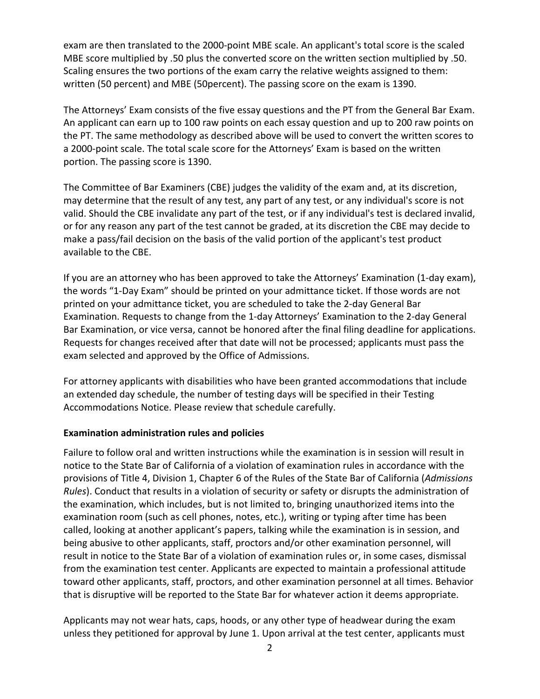exam are then translated to the 2000-point MBE scale. An applicant's total score is the scaled MBE score multiplied by .50 plus the converted score on the written section multiplied by .50. Scaling ensures the two portions of the exam carry the relative weights assigned to them: written (50 percent) and MBE (50percent). The passing score on the exam is 1390.

The Attorneys' Exam consists of the five essay questions and the PT from the General Bar Exam. An applicant can earn up to 100 raw points on each essay question and up to 200 raw points on the PT. The same methodology as described above will be used to convert the written scores to a 2000-point scale. The total scale score for the Attorneys' Exam is based on the written portion. The passing score is 1390.

The Committee of Bar Examiners (CBE) judges the validity of the exam and, at its discretion, may determine that the result of any test, any part of any test, or any individual's score is not valid. Should the CBE invalidate any part of the test, or if any individual's test is declared invalid, or for any reason any part of the test cannot be graded, at its discretion the CBE may decide to make a pass/fail decision on the basis of the valid portion of the applicant's test product available to the CBE.

If you are an attorney who has been approved to take the Attorneys' Examination (1-day exam), the words "1-Day Exam" should be printed on your admittance ticket. If those words are not printed on your admittance ticket, you are scheduled to take the 2-day General Bar Examination. Requests to change from the 1-day Attorneys' Examination to the 2-day General Bar Examination, or vice versa, cannot be honored after the final filing deadline for applications. Requests for changes received after that date will not be processed; applicants must pass the exam selected and approved by the Office of Admissions.

For attorney applicants with disabilities who have been granted accommodations that include an extended day schedule, the number of testing days will be specified in their Testing Accommodations Notice. Please review that schedule carefully.

## **Examination administration rules and policies**

Failure to follow oral and written instructions while the examination is in session will result in notice to the State Bar of California of a violation of examination rules in accordance with the provisions of Title 4, Division 1, Chapter 6 of the Rules of the State Bar of California (*Admissions Rules*). Conduct that results in a violation of security or safety or disrupts the administration of the examination, which includes, but is not limited to, bringing unauthorized items into the examination room (such as cell phones, notes, etc.), writing or typing after time has been called, looking at another applicant's papers, talking while the examination is in session, and being abusive to other applicants, staff, proctors and/or other examination personnel, will result in notice to the State Bar of a violation of examination rules or, in some cases, dismissal from the examination test center. Applicants are expected to maintain a professional attitude toward other applicants, staff, proctors, and other examination personnel at all times. Behavior that is disruptive will be reported to the State Bar for whatever action it deems appropriate.

Applicants may not wear hats, caps, hoods, or any other type of headwear during the exam unless they petitioned for approval by June 1. Upon arrival at the test center, applicants must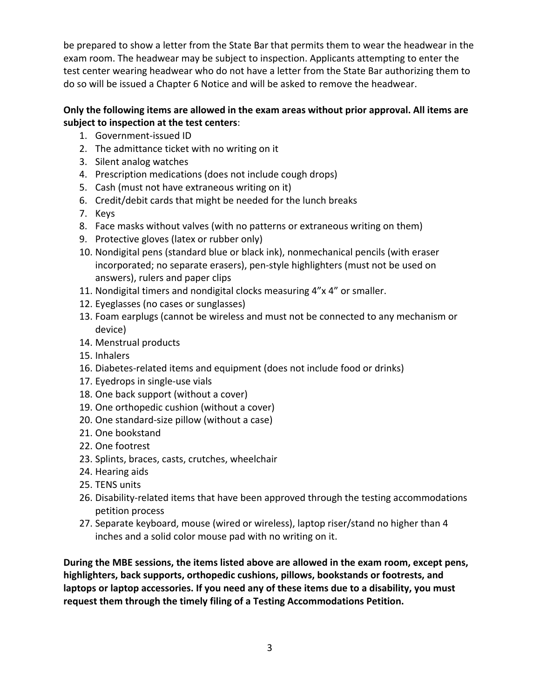be prepared to show a letter from the State Bar that permits them to wear the headwear in the exam room. The headwear may be subject to inspection. Applicants attempting to enter the test center wearing headwear who do not have a letter from the State Bar authorizing them to do so will be issued a Chapter 6 Notice and will be asked to remove the headwear.

## **Only the following items are allowed in the exam areas without prior approval. All items are subject to inspection at the test centers**:

- 1. Government-issued ID
- 2. The admittance ticket with no writing on it
- 3. Silent analog watches
- 4. Prescription medications (does not include cough drops)
- 5. Cash (must not have extraneous writing on it)
- 6. Credit/debit cards that might be needed for the lunch breaks
- 7. Keys
- 8. Face masks without valves (with no patterns or extraneous writing on them)
- 9. Protective gloves (latex or rubber only)
- 10. Nondigital pens (standard blue or black ink), nonmechanical pencils (with eraser incorporated; no separate erasers), pen-style highlighters (must not be used on answers), rulers and paper clips
- 11. Nondigital timers and nondigital clocks measuring 4"x 4" or smaller.
- 12. Eyeglasses (no cases or sunglasses)
- 13. Foam earplugs (cannot be wireless and must not be connected to any mechanism or device)
- 14. Menstrual products
- 15. Inhalers
- 16. Diabetes-related items and equipment (does not include food or drinks)
- 17. Eyedrops in single-use vials
- 18. One back support (without a cover)
- 19. One orthopedic cushion (without a cover)
- 20. One standard-size pillow (without a case)
- 21. One bookstand
- 22. One footrest
- 23. Splints, braces, casts, crutches, wheelchair
- 24. Hearing aids
- 25. TENS units
- 26. Disability-related items that have been approved through the testing accommodations petition process
- 27. Separate keyboard, mouse (wired or wireless), laptop riser/stand no higher than 4 inches and a solid color mouse pad with no writing on it.

**During the MBE sessions, the items listed above are allowed in the exam room, except pens, highlighters, back supports, orthopedic cushions, pillows, bookstands or footrests, and laptops or laptop accessories. If you need any of these items due to a disability, you must request them through the timely filing of a Testing Accommodations Petition.**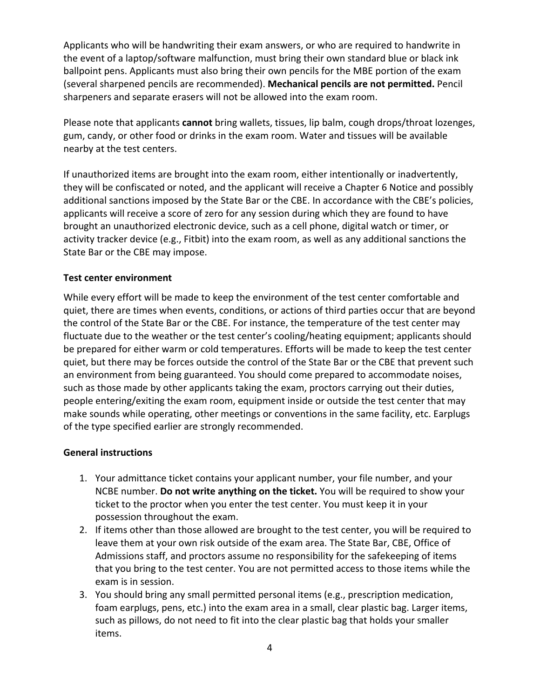Applicants who will be handwriting their exam answers, or who are required to handwrite in the event of a laptop/software malfunction, must bring their own standard blue or black ink ballpoint pens. Applicants must also bring their own pencils for the MBE portion of the exam (several sharpened pencils are recommended). **Mechanical pencils are not permitted.** Pencil sharpeners and separate erasers will not be allowed into the exam room.

Please note that applicants **cannot** bring wallets, tissues, lip balm, cough drops/throat lozenges, gum, candy, or other food or drinks in the exam room. Water and tissues will be available nearby at the test centers.

If unauthorized items are brought into the exam room, either intentionally or inadvertently, they will be confiscated or noted, and the applicant will receive a Chapter 6 Notice and possibly additional sanctions imposed by the State Bar or the CBE. In accordance with the CBE's policies, applicants will receive a score of zero for any session during which they are found to have brought an unauthorized electronic device, such as a cell phone, digital watch or timer, or activity tracker device (e.g., Fitbit) into the exam room, as well as any additional sanctions the State Bar or the CBE may impose.

## **Test center environment**

While every effort will be made to keep the environment of the test center comfortable and quiet, there are times when events, conditions, or actions of third parties occur that are beyond the control of the State Bar or the CBE. For instance, the temperature of the test center may fluctuate due to the weather or the test center's cooling/heating equipment; applicants should be prepared for either warm or cold temperatures. Efforts will be made to keep the test center quiet, but there may be forces outside the control of the State Bar or the CBE that prevent such an environment from being guaranteed. You should come prepared to accommodate noises, such as those made by other applicants taking the exam, proctors carrying out their duties, people entering/exiting the exam room, equipment inside or outside the test center that may make sounds while operating, other meetings or conventions in the same facility, etc. Earplugs of the type specified earlier are strongly recommended.

## **General instructions**

- 1. Your admittance ticket contains your applicant number, your file number, and your NCBE number. **Do not write anything on the ticket.** You will be required to show your ticket to the proctor when you enter the test center. You must keep it in your possession throughout the exam.
- 2. If items other than those allowed are brought to the test center, you will be required to leave them at your own risk outside of the exam area. The State Bar, CBE, Office of Admissions staff, and proctors assume no responsibility for the safekeeping of items that you bring to the test center. You are not permitted access to those items while the exam is in session.
- 3. You should bring any small permitted personal items (e.g., prescription medication, foam earplugs, pens, etc.) into the exam area in a small, clear plastic bag. Larger items, such as pillows, do not need to fit into the clear plastic bag that holds your smaller items.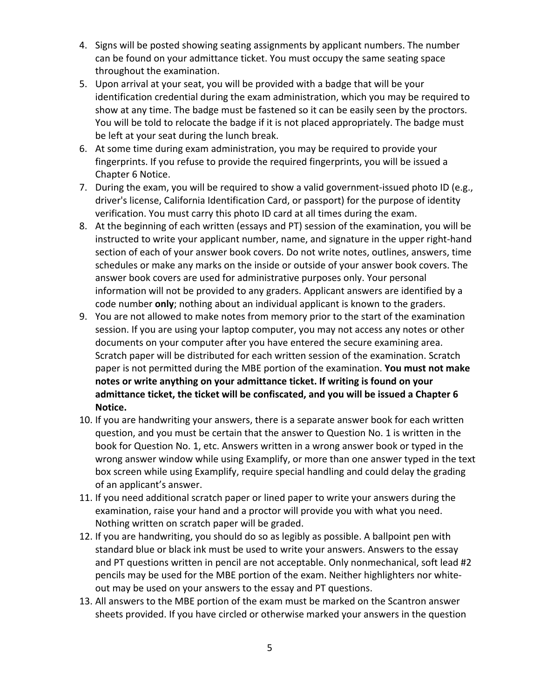- 4. Signs will be posted showing seating assignments by applicant numbers. The number can be found on your admittance ticket. You must occupy the same seating space throughout the examination.
- 5. Upon arrival at your seat, you will be provided with a badge that will be your identification credential during the exam administration, which you may be required to show at any time. The badge must be fastened so it can be easily seen by the proctors. You will be told to relocate the badge if it is not placed appropriately. The badge must be left at your seat during the lunch break.
- 6. At some time during exam administration, you may be required to provide your fingerprints. If you refuse to provide the required fingerprints, you will be issued a Chapter 6 Notice.
- 7. During the exam, you will be required to show a valid government-issued photo ID (e.g., driver's license, California Identification Card, or passport) for the purpose of identity verification. You must carry this photo ID card at all times during the exam.
- 8. At the beginning of each written (essays and PT) session of the examination, you will be instructed to write your applicant number, name, and signature in the upper right-hand section of each of your answer book covers. Do not write notes, outlines, answers, time schedules or make any marks on the inside or outside of your answer book covers. The answer book covers are used for administrative purposes only. Your personal information will not be provided to any graders. Applicant answers are identified by a code number **only**; nothing about an individual applicant is known to the graders.
- 9. You are not allowed to make notes from memory prior to the start of the examination session. If you are using your laptop computer, you may not access any notes or other documents on your computer after you have entered the secure examining area. Scratch paper will be distributed for each written session of the examination. Scratch paper is not permitted during the MBE portion of the examination. **You must not make notes or write anything on your admittance ticket. If writing is found on your admittance ticket, the ticket will be confiscated, and you will be issued a Chapter 6 Notice.**
- 10. If you are handwriting your answers, there is a separate answer book for each written question, and you must be certain that the answer to Question No. 1 is written in the book for Question No. 1, etc. Answers written in a wrong answer book or typed in the wrong answer window while using Examplify, or more than one answer typed in the text box screen while using Examplify, require special handling and could delay the grading of an applicant's answer.
- 11. If you need additional scratch paper or lined paper to write your answers during the examination, raise your hand and a proctor will provide you with what you need. Nothing written on scratch paper will be graded.
- 12. If you are handwriting, you should do so as legibly as possible. A ballpoint pen with standard blue or black ink must be used to write your answers. Answers to the essay and PT questions written in pencil are not acceptable. Only nonmechanical, soft lead #2 pencils may be used for the MBE portion of the exam. Neither highlighters nor whiteout may be used on your answers to the essay and PT questions.
- 13. All answers to the MBE portion of the exam must be marked on the Scantron answer sheets provided. If you have circled or otherwise marked your answers in the question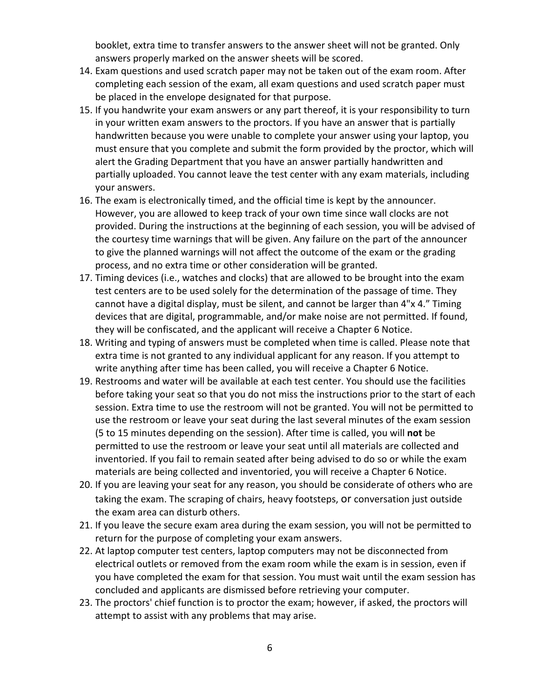booklet, extra time to transfer answers to the answer sheet will not be granted. Only answers properly marked on the answer sheets will be scored.

- 14. Exam questions and used scratch paper may not be taken out of the exam room. After completing each session of the exam, all exam questions and used scratch paper must be placed in the envelope designated for that purpose.
- 15. If you handwrite your exam answers or any part thereof, it is your responsibility to turn in your written exam answers to the proctors. If you have an answer that is partially handwritten because you were unable to complete your answer using your laptop, you must ensure that you complete and submit the form provided by the proctor, which will alert the Grading Department that you have an answer partially handwritten and partially uploaded. You cannot leave the test center with any exam materials, including your answers.
- 16. The exam is electronically timed, and the official time is kept by the announcer. However, you are allowed to keep track of your own time since wall clocks are not provided. During the instructions at the beginning of each session, you will be advised of the courtesy time warnings that will be given. Any failure on the part of the announcer to give the planned warnings will not affect the outcome of the exam or the grading process, and no extra time or other consideration will be granted.
- 17. Timing devices (i.e., watches and clocks) that are allowed to be brought into the exam test centers are to be used solely for the determination of the passage of time. They cannot have a digital display, must be silent, and cannot be larger than 4"x 4." Timing devices that are digital, programmable, and/or make noise are not permitted. If found, they will be confiscated, and the applicant will receive a Chapter 6 Notice.
- 18. Writing and typing of answers must be completed when time is called. Please note that extra time is not granted to any individual applicant for any reason. If you attempt to write anything after time has been called, you will receive a Chapter 6 Notice.
- 19. Restrooms and water will be available at each test center. You should use the facilities before taking your seat so that you do not miss the instructions prior to the start of each session. Extra time to use the restroom will not be granted. You will not be permitted to use the restroom or leave your seat during the last several minutes of the exam session (5 to 15 minutes depending on the session). After time is called, you will **not** be permitted to use the restroom or leave your seat until all materials are collected and inventoried. If you fail to remain seated after being advised to do so or while the exam materials are being collected and inventoried, you will receive a Chapter 6 Notice.
- 20. If you are leaving your seat for any reason, you should be considerate of others who are taking the exam. The scraping of chairs, heavy footsteps, or conversation just outside the exam area can disturb others.
- 21. If you leave the secure exam area during the exam session, you will not be permitted to return for the purpose of completing your exam answers.
- 22. At laptop computer test centers, laptop computers may not be disconnected from electrical outlets or removed from the exam room while the exam is in session, even if you have completed the exam for that session. You must wait until the exam session has concluded and applicants are dismissed before retrieving your computer.
- 23. The proctors' chief function is to proctor the exam; however, if asked, the proctors will attempt to assist with any problems that may arise.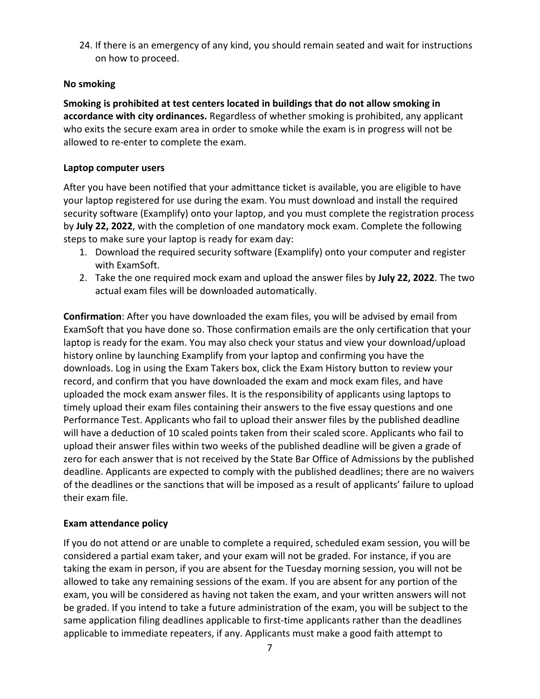24. If there is an emergency of any kind, you should remain seated and wait for instructions on how to proceed.

## **No smoking**

**Smoking is prohibited at test centers located in buildings that do not allow smoking in accordance with city ordinances.** Regardless of whether smoking is prohibited, any applicant who exits the secure exam area in order to smoke while the exam is in progress will not be allowed to re-enter to complete the exam.

## **Laptop computer users**

After you have been notified that your admittance ticket is available, you are eligible to have your laptop registered for use during the exam. You must download and install the required security software (Examplify) onto your laptop, and you must complete the registration process by **July 22, 2022**, with the completion of one mandatory mock exam. Complete the following steps to make sure your laptop is ready for exam day:

- 1. Download the required security software (Examplify) onto your computer and register with ExamSoft.
- 2. Take the one required mock exam and upload the answer files by **July 22, 2022**. The two actual exam files will be downloaded automatically.

**Confirmation**: After you have downloaded the exam files, you will be advised by email from ExamSoft that you have done so. Those confirmation emails are the only certification that your laptop is ready for the exam. You may also check your status and view your download/upload history online by launching Examplify from your laptop and confirming you have the downloads. Log in using the Exam Takers box, click the Exam History button to review your record, and confirm that you have downloaded the exam and mock exam files, and have uploaded the mock exam answer files. It is the responsibility of applicants using laptops to timely upload their exam files containing their answers to the five essay questions and one Performance Test. Applicants who fail to upload their answer files by the published deadline will have a deduction of 10 scaled points taken from their scaled score. Applicants who fail to upload their answer files within two weeks of the published deadline will be given a grade of zero for each answer that is not received by the State Bar Office of Admissions by the published deadline. Applicants are expected to comply with the published deadlines; there are no waivers of the deadlines or the sanctions that will be imposed as a result of applicants' failure to upload their exam file.

## **Exam attendance policy**

If you do not attend or are unable to complete a required, scheduled exam session, you will be considered a partial exam taker, and your exam will not be graded. For instance, if you are taking the exam in person, if you are absent for the Tuesday morning session, you will not be allowed to take any remaining sessions of the exam. If you are absent for any portion of the exam, you will be considered as having not taken the exam, and your written answers will not be graded. If you intend to take a future administration of the exam, you will be subject to the same application filing deadlines applicable to first-time applicants rather than the deadlines applicable to immediate repeaters, if any. Applicants must make a good faith attempt to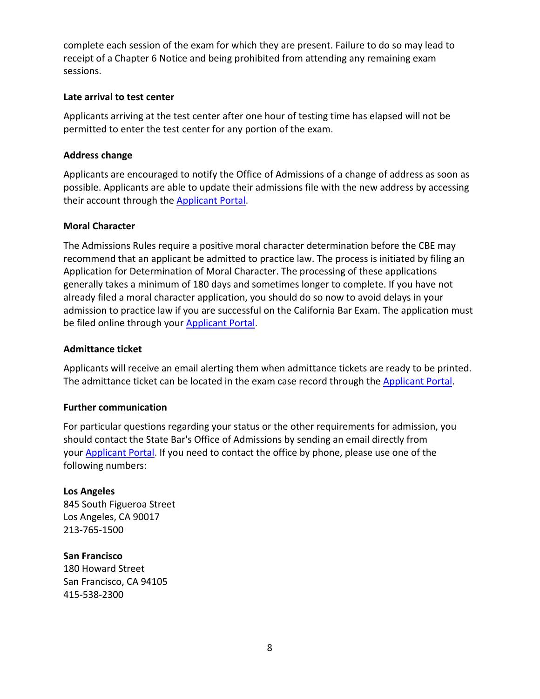complete each session of the exam for which they are present. Failure to do so may lead to receipt of a Chapter 6 Notice and being prohibited from attending any remaining exam sessions.

## **Late arrival to test center**

Applicants arriving at the test center after one hour of testing time has elapsed will not be permitted to enter the test center for any portion of the exam.

## **Address change**

Applicants are encouraged to notify the Office of Admissions of a change of address as soon as possible. Applicants are able to update their admissions file with the new address by accessing their account through the **[Applicant](https://admissions.calbar.ca.gov/s/login/) Portal**.

## **Moral Character**

The Admissions Rules require a positive moral character determination before the CBE may recommend that an applicant be admitted to practice law. The process is initiated by filing an Application for Determination of Moral Character. The processing of these applications generally takes a minimum of 180 days and sometimes longer to complete. If you have not already filed a moral character application, you should do so now to avoid delays in your admission to practice law if you are successful on the California Bar Exam. The application must be filed online through your [Applicant Portal.](https://admissions.calbar.ca.gov/s/login/)

#### **Admittance ticket**

Applicants will receive an email alerting them when admittance tickets are ready to be printed. The admittance ticket can be located in the exam case record through the [Applicant](https://admissions.calbar.ca.gov/s/login/) Portal.

#### **Further communication**

For particular questions regarding your status or the other requirements for admission, you should contact the State Bar's Office of Admissions by sending an email directly from your **Applicant Portal**. If you need to contact the office by phone, please use one of the following numbers:

# **Los Angeles**

845 South Figueroa Street Los Angeles, CA 90017 213-765-1500

## **San Francisco** 180 Howard Street San Francisco, CA 94105 415-538-2300